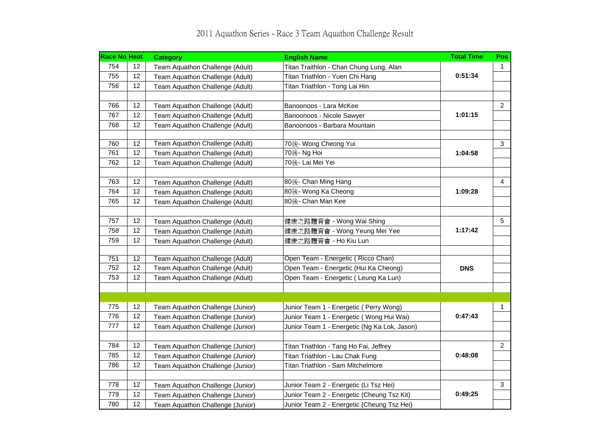| <b>Race No Heat</b> |                   | <b>Category</b>                  | <b>English Name</b>                          | <b>Total Time</b> | Pos            |
|---------------------|-------------------|----------------------------------|----------------------------------------------|-------------------|----------------|
| 754                 | 12                | Team Aquathon Challenge (Adult)  | Titan Traithlon - Chan Chung Lung, Alan      | 0:51:34           | 1              |
| 755                 | 12                | Team Aquathon Challenge (Adult)  | Titan Triathlon - Yuen Chi Hang              |                   |                |
| 756                 | 12                | Team Aquathon Challenge (Adult)  | Titan Triathlon - Tong Lai Hin               |                   |                |
|                     |                   |                                  |                                              |                   |                |
| 766                 | 12                | Team Aquathon Challenge (Adult)  | Banoonoos - Lara McKee                       | 1:01:15           | $\overline{2}$ |
| 767                 | $12 \overline{ }$ | Team Aquathon Challenge (Adult)  | Banoonoos - Nicole Sawyer                    |                   |                |
| 768                 | 12                | Team Aquathon Challenge (Adult)  | Banoonoos - Barbara Mountain                 |                   |                |
|                     |                   |                                  |                                              |                   |                |
| 760                 | 12                | Team Aquathon Challenge (Adult)  | 70後- Wong Cheong Yui                         | 1:04:58           | $\mathbf{3}$   |
| 761                 | 12                | Team Aquathon Challenge (Adult)  | 70後- Ng Hoi                                  |                   |                |
| 762                 | 12                | Team Aquathon Challenge (Adult)  | 70後- Lai Mei Yei                             |                   |                |
| 763                 | 12                | Team Aquathon Challenge (Adult)  | 80後- Chan Ming Hang                          | 1:09:28           | $\overline{4}$ |
| 764                 | 12                | Team Aquathon Challenge (Adult)  | 80後- Wong Ka Cheong                          |                   |                |
| 765                 | 12                | Team Aquathon Challenge (Adult)  | 80後- Chan Man Kee                            |                   |                |
|                     |                   |                                  |                                              |                   |                |
| 757                 | 12                | Team Aquathon Challenge (Adult)  | 健康之路體育會 - Wong Wai Shing                     | 1:17:42           | 5              |
| 758                 | 12                | Team Aquathon Challenge (Adult)  | 健康之路體育會 - Wong Yeung Mei Yee                 |                   |                |
| 759                 | 12                | Team Aquathon Challenge (Adult)  | 健康之路體育會 - Ho Kiu Lun                         |                   |                |
|                     |                   |                                  |                                              |                   |                |
| 751                 | 12                | Team Aquathon Challenge (Adult)  | Open Team - Energetic (Ricco Chan)           | <b>DNS</b>        |                |
| 752                 | 12                | Team Aquathon Challenge (Adult)  | Open Team - Energetic (Hui Ka Cheong)        |                   |                |
| 753                 | 12                | Team Aquathon Challenge (Adult)  | Open Team - Energetic (Leung Ka Lun)         |                   |                |
|                     |                   |                                  |                                              |                   |                |
| 775                 | 12                | Team Aquathon Challenge (Junior) | Junior Team 1 - Energetic (Perry Wong)       |                   | $\mathbf{1}$   |
| 776                 | 12                | Team Aquathon Challenge (Junior) | Junior Team 1 - Energetic (Wong Hui Wai)     | 0:47:43           |                |
| 777                 | 12                | Team Aquathon Challenge (Junior) | Junior Team 1 - Energetic (Ng Ka Lok, Jason) |                   |                |
|                     |                   |                                  |                                              |                   |                |
| 784                 | 12                | Team Aquathon Challenge (Junior) | Titan Triathlon - Tang Ho Fai, Jeffrey       | 0:48:08           | $\overline{2}$ |
| 785                 | 12                | Team Aquathon Challenge (Junior) | Titan Triathlon - Lau Chak Fung              |                   |                |
| 786                 | 12                | Team Aquathon Challenge (Junior) | Titan Triathlon - Sam Mitchelmore            |                   |                |
|                     |                   |                                  |                                              |                   |                |
| 778                 | 12                | Team Aquathon Challenge (Junior) | Junior Team 2 - Energetic (Li Tsz Hei)       | 0:49:25           | 3              |
| 779                 | 12                | Team Aquathon Challenge (Junior) | Junior Team 2 - Energetic (Cheung Tsz Kit)   |                   |                |
| 780                 | 12                | Team Aquathon Challenge (Junior) | Junior Team 2 - Energetic (Cheung Tsz Hei)   |                   |                |

## 2011 Aquathon Series - Race 3 Team Aquathon Challenge Result